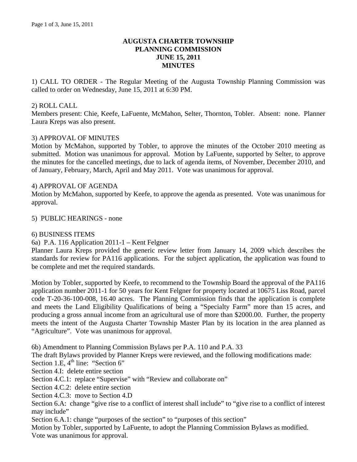# **AUGUSTA CHARTER TOWNSHIP PLANNING COMMISSION JUNE 15, 2011 MINUTES**

1) CALL TO ORDER - The Regular Meeting of the Augusta Township Planning Commission was called to order on Wednesday, June 15, 2011 at 6:30 PM.

### 2) ROLL CALL

Members present: Chie, Keefe, LaFuente, McMahon, Selter, Thornton, Tobler. Absent: none. Planner Laura Kreps was also present.

### 3) APPROVAL OF MINUTES

Motion by McMahon, supported by Tobler, to approve the minutes of the October 2010 meeting as submitted. Motion was unanimous for approval. Motion by LaFuente, supported by Selter, to approve the minutes for the cancelled meetings, due to lack of agenda items, of November, December 2010, and of January, February, March, April and May 2011. Vote was unanimous for approval.

#### 4) APPROVAL OF AGENDA

Motion by McMahon, supported by Keefe, to approve the agenda as presented. Vote was unanimous for approval.

### 5) PUBLIC HEARINGS - none

#### 6) BUSINESS ITEMS

6a) P.A. 116 Application 2011-1 – Kent Felgner

Planner Laura Kreps provided the generic review letter from January 14, 2009 which describes the standards for review for PA116 applications. For the subject application, the application was found to be complete and met the required standards.

Motion by Tobler, supported by Keefe, to recommend to the Township Board the approval of the PA116 application number 2011-1 for 50 years for Kent Felgner for property located at 10675 Liss Road, parcel code T-20-36-100-008, 16.40 acres. The Planning Commission finds that the application is complete and meets the Land Eligibility Qualifications of being a "Specialty Farm" more than 15 acres, and producing a gross annual income from an agricultural use of more than \$2000.00. Further, the property meets the intent of the Augusta Charter Township Master Plan by its location in the area planned as "Agriculture". Vote was unanimous for approval.

6b) Amendment to Planning Commission Bylaws per P.A. 110 and P.A. 33

The draft Bylaws provided by Planner Kreps were reviewed, and the following modifications made:

Section 1.E,  $4^{\text{th}}$  line: "Section 6"

Section 4.I: delete entire section

Section 4.C.1: replace "Supervise" with "Review and collaborate on"

Section 4.C.2: delete entire section

Section 4.C.3: move to Section 4.D

Section 6.A: change "give rise to a conflict of interest shall include" to "give rise to a conflict of interest may include"

Section 6.A.1: change "purposes of the section" to "purposes of this section"

Motion by Tobler, supported by LaFuente, to adopt the Planning Commission Bylaws as modified. Vote was unanimous for approval.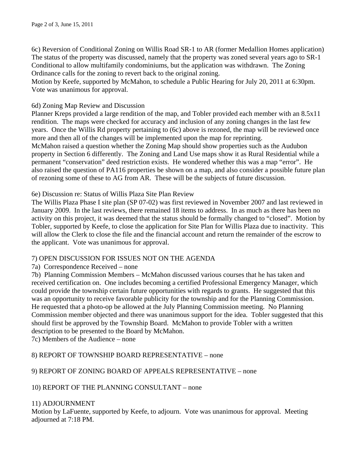6c) Reversion of Conditional Zoning on Willis Road SR-1 to AR (former Medallion Homes application) The status of the property was discussed, namely that the property was zoned several years ago to SR-1 Conditional to allow multifamily condominiums, but the application was withdrawn. The Zoning Ordinance calls for the zoning to revert back to the original zoning.

Motion by Keefe, supported by McMahon, to schedule a Public Hearing for July 20, 2011 at 6:30pm. Vote was unanimous for approval.

### 6d) Zoning Map Review and Discussion

Planner Kreps provided a large rendition of the map, and Tobler provided each member with an 8.5x11 rendition. The maps were checked for accuracy and inclusion of any zoning changes in the last few years. Once the Willis Rd property pertaining to (6c) above is rezoned, the map will be reviewed once more and then all of the changes will be implemented upon the map for reprinting. McMahon raised a question whether the Zoning Map should show properties such as the Audubon property in Section 6 differently. The Zoning and Land Use maps show it as Rural Residential while a

permanent "conservation" deed restriction exists. He wondered whether this was a map "error". He also raised the question of PA116 properties be shown on a map, and also consider a possible future plan of rezoning some of these to AG from AR. These will be the subjects of future discussion.

### 6e) Discussion re: Status of Willis Plaza Site Plan Review

The Willis Plaza Phase I site plan (SP 07-02) was first reviewed in November 2007 and last reviewed in January 2009. In the last reviews, there remained 18 items to address. In as much as there has been no activity on this project, it was deemed that the status should be formally changed to "closed". Motion by Tobler, supported by Keefe, to close the application for Site Plan for Willis Plaza due to inactivity. This will allow the Clerk to close the file and the financial account and return the remainder of the escrow to the applicant. Vote was unanimous for approval.

# 7) OPEN DISCUSSION FOR ISSUES NOT ON THE AGENDA

# 7a) Correspondence Received – none

7b) Planning Commission Members – McMahon discussed various courses that he has taken and received certification on. One includes becoming a certified Professional Emergency Manager, which could provide the township certain future opportunities with regards to grants. He suggested that this was an opportunity to receive favorable publicity for the township and for the Planning Commission. He requested that a photo-op be allowed at the July Planning Commission meeting. No Planning Commission member objected and there was unanimous support for the idea. Tobler suggested that this should first be approved by the Township Board. McMahon to provide Tobler with a written description to be presented to the Board by McMahon.

7c) Members of the Audience – none

# 8) REPORT OF TOWNSHIP BOARD REPRESENTATIVE – none

# 9) REPORT OF ZONING BOARD OF APPEALS REPRESENTATIVE – none

10) REPORT OF THE PLANNING CONSULTANT – none

# 11) ADJOURNMENT

Motion by LaFuente, supported by Keefe, to adjourn. Vote was unanimous for approval. Meeting adjourned at 7:18 PM.